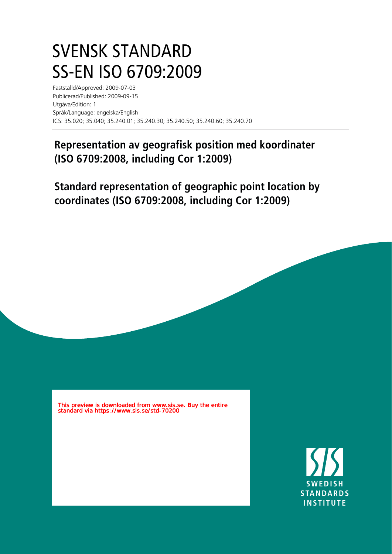## SVENSK STANDARD SS-EN ISO 6709:2009

Fastställd/Approved: 2009-07-03 Publicerad/Published: 2009-09-15 Utgåva/Edition: 1 Språk/Language: engelska/English ICS: 35.020; 35.040; 35.240.01; 35.240.30; 35.240.50; 35.240.60; 35.240.70

## **Representation av geografisk position med koordinater (ISO 6709:2008, including Cor 1:2009)**

**Standard representation of geographic point location by coordinates (ISO 6709:2008, including Cor 1:2009)**

This preview is downloaded from www.sis.se. Buy the entire standard via https://www.sis.se/std-70200

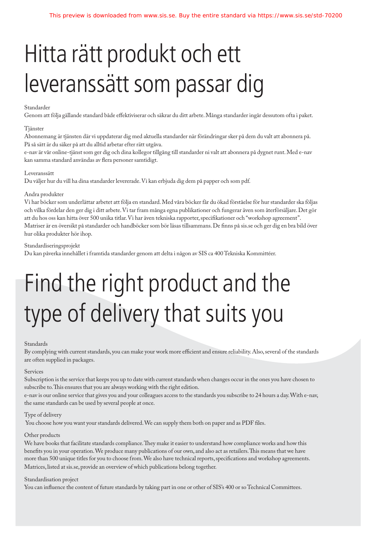## Hitta rätt produkt och ett leveranssätt som passar dig

#### Standarder

Genom att följa gällande standard både effektiviserar och säkrar du ditt arbete. Många standarder ingår dessutom ofta i paket.

#### Tjänster

Abonnemang är tjänsten där vi uppdaterar dig med aktuella standarder när förändringar sker på dem du valt att abonnera på. På så sätt är du säker på att du alltid arbetar efter rätt utgåva.

e-nav är vår online-tjänst som ger dig och dina kollegor tillgång till standarder ni valt att abonnera på dygnet runt. Med e-nav kan samma standard användas av flera personer samtidigt.

#### Leveranssätt

Du väljer hur du vill ha dina standarder levererade. Vi kan erbjuda dig dem på papper och som pdf.

#### Andra produkter

Vi har böcker som underlättar arbetet att följa en standard. Med våra böcker får du ökad förståelse för hur standarder ska följas och vilka fördelar den ger dig i ditt arbete. Vi tar fram många egna publikationer och fungerar även som återförsäljare. Det gör att du hos oss kan hitta över 500 unika titlar. Vi har även tekniska rapporter, specikationer och "workshop agreement". Matriser är en översikt på standarder och handböcker som bör läsas tillsammans. De finns på sis.se och ger dig en bra bild över hur olika produkter hör ihop.

#### Standardiseringsprojekt

Du kan påverka innehållet i framtida standarder genom att delta i någon av SIS ca 400 Tekniska Kommittéer.

# Find the right product and the type of delivery that suits you

#### Standards

By complying with current standards, you can make your work more efficient and ensure reliability. Also, several of the standards are often supplied in packages.

#### Services

Subscription is the service that keeps you up to date with current standards when changes occur in the ones you have chosen to subscribe to. This ensures that you are always working with the right edition.

e-nav is our online service that gives you and your colleagues access to the standards you subscribe to 24 hours a day. With e-nav, the same standards can be used by several people at once.

#### Type of delivery

You choose how you want your standards delivered. We can supply them both on paper and as PDF files.

#### Other products

We have books that facilitate standards compliance. They make it easier to understand how compliance works and how this benefits you in your operation. We produce many publications of our own, and also act as retailers. This means that we have more than 500 unique titles for you to choose from. We also have technical reports, specifications and workshop agreements. Matrices, listed at sis.se, provide an overview of which publications belong together.

#### Standardisation project

You can influence the content of future standards by taking part in one or other of SIS's 400 or so Technical Committees.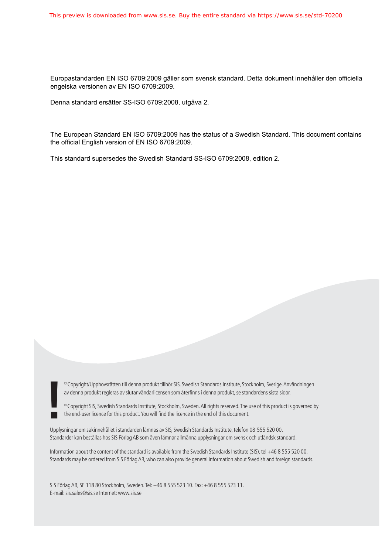Europastandarden EN ISO 6709:2009 gäller som svensk standard. Detta dokument innehåller den officiella engelska versionen av EN ISO 6709:2009.

Denna standard ersätter SS-ISO 6709:2008, utgåva 2.

The European Standard EN ISO 6709:2009 has the status of a Swedish Standard. This document contains the official English version of EN ISO 6709:2009.

This standard supersedes the Swedish Standard SS-ISO 6709:2008, edition 2.

© Copyright/Upphovsrätten till denna produkt tillhör SIS, Swedish Standards Institute, Stockholm, Sverige. Användningen av denna produkt regleras av slutanvändarlicensen som återfinns i denna produkt, se standardens sista sidor. © Copyright/Upphovsrätten till denna produkt tillhör SIS, Swedish Standards Institute, Stockholm, Sverige. Användningen<br>av denna produkt regleras av slutanvändarlicensen som återfinns i denna produkt, se standardens sista

Upplysningar om sakinnehållet i standarden lämnas av SIS, Swedish Standards Institute, telefon 08-555 520 00. Standarder kan beställas hos SIS Förlag AB som även lämnar allmänna upplysningar om svensk och utländsk standard.

Information about the content of the standard is available from the Swedish Standards Institute (SIS), tel +46 8 555 520 00. Standards may be ordered from SIS Förlag AB, who can also provide general information about Swedish and foreign standards.

SIS Förlag AB, SE 118 80 Stockholm, Sweden. Tel: +46 8 555 523 10. Fax: +46 8 555 523 11. E-mail: sis.sales@sis.se Internet: www.sis.se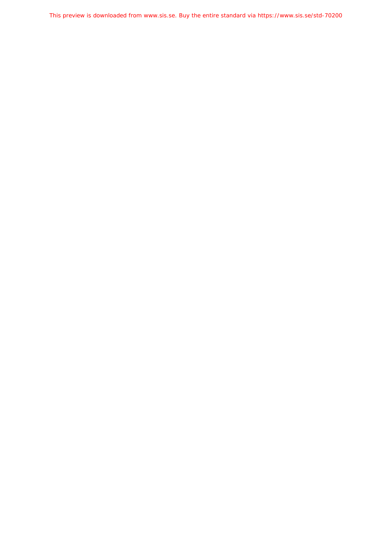This preview is downloaded from www.sis.se. Buy the entire standard via https://www.sis.se/std-70200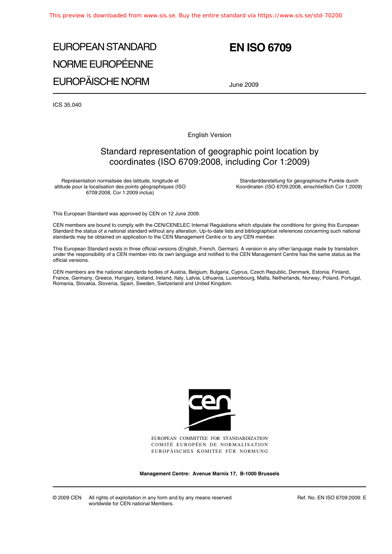## EUROPEAN STANDARD NORME EUROPÉENNE EUROPÄISCHE NORM

### **EN ISO 6709 EN ISO 6709**

June 2009

ICS 35.040

English Version

### Standard representation of geographic point location by coordinates (ISO 6709:2008, including Cor 1:2009)

Représentation normalisée des latitude, longitude et altitude pour la localisation des points géographiques (ISO 6709:2008, Cor 1:2009 inclus)

Standarddarstellung für geographische Punkte durch Koordinaten (ISO 6709:2008, einschließlich Cor 1:2009)

This European Standard was approved by CEN on 12 June 2009.

CEN members are bound to comply with the CEN/CENELEC Internal Regulations which stipulate the conditions for giving this European Standard the status of a national standard without any alteration. Up-to-date lists and bibliographical references concerning such national standards may be obtained on application to the CEN Management Centre or to any CEN member.

This European Standard exists in three official versions (English, French, German). A version in any other language made by translation under the responsibility of a CEN member into its own language and notified to the CEN Management Centre has the same status as the official versions.

CEN members are the national standards bodies of Austria, Belgium, Bulgaria, Cyprus, Czech Republic, Denmark, Estonia, Finland, France, Germany, Greece, Hungary, Iceland, Ireland, Italy, Latvia, Lithuania, Luxembourg, Malta, Netherlands, Norway, Poland, Portugal, Romania, Slovakia, Slovenia, Spain, Sweden, Switzerland and United Kingdom.



EUROPEAN COMMITTEE FOR STANDARDIZATION COMITÉ EUROPÉEN DE NORMALISATION EUROPÄISCHES KOMITEE FÜR NORMUNG

**Management Centre: Avenue Marnix 17, B-1000 Brussels**

© 2009 CEN All rights of exploitation in any form and by any means reserved worldwide for CEN national Members.

Ref. No. EN ISO 6709:2009: E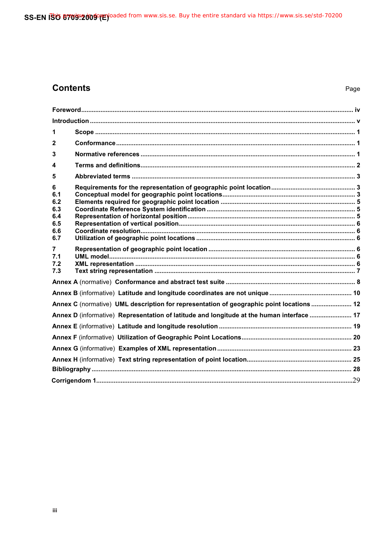SS-EN ISO 6709-2009 (E) oaded from www.sis.se. Buy the entire standard via https://www.sis.se/std-70200

## **Contents**

| 1                                                                                         |  |
|-------------------------------------------------------------------------------------------|--|
| $\mathbf{2}$                                                                              |  |
| 3                                                                                         |  |
| 4                                                                                         |  |
| 5                                                                                         |  |
| 6<br>6.1<br>6.2<br>6.3<br>6.4<br>6.5<br>6.6<br>6.7<br>$\overline{7}$<br>7.1<br>7.2<br>7.3 |  |
|                                                                                           |  |
|                                                                                           |  |
| Annex C (normative) UML description for representation of geographic point locations 12   |  |
| Annex D (informative) Representation of latitude and longitude at the human interface  17 |  |
|                                                                                           |  |
|                                                                                           |  |
|                                                                                           |  |
|                                                                                           |  |
|                                                                                           |  |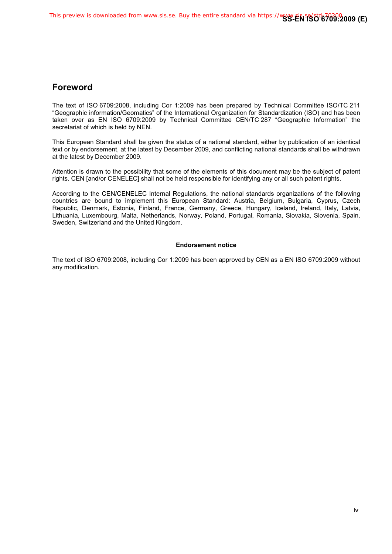**EN ISO 6709:2009 (E)** 

#### **Foreword**

The text of ISO 6709:2008, including Cor 1:2009 has been prepared by Technical Committee ISO/TC 211 "Geographic information/Geomatics" of the International Organization for Standardization (ISO) and has been taken over as EN ISO 6709:2009 by Technical Committee CEN/TC 287 "Geographic Information" the secretariat of which is held by NEN.

This European Standard shall be given the status of a national standard, either by publication of an identical text or by endorsement, at the latest by December 2009, and conflicting national standards shall be withdrawn at the latest by December 2009.

Attention is drawn to the possibility that some of the elements of this document may be the subject of patent rights. CEN [and/or CENELEC] shall not be held responsible for identifying any or all such patent rights.

According to the CEN/CENELEC Internal Regulations, the national standards organizations of the following countries are bound to implement this European Standard: Austria, Belgium, Bulgaria, Cyprus, Czech Republic, Denmark, Estonia, Finland, France, Germany, Greece, Hungary, Iceland, Ireland, Italy, Latvia, Lithuania, Luxembourg, Malta, Netherlands, Norway, Poland, Portugal, Romania, Slovakia, Slovenia, Spain, Sweden, Switzerland and the United Kingdom.

#### **Endorsement notice**

The text of ISO 6709:2008, including Cor 1:2009 has been approved by CEN as a EN ISO 6709:2009 without any modification.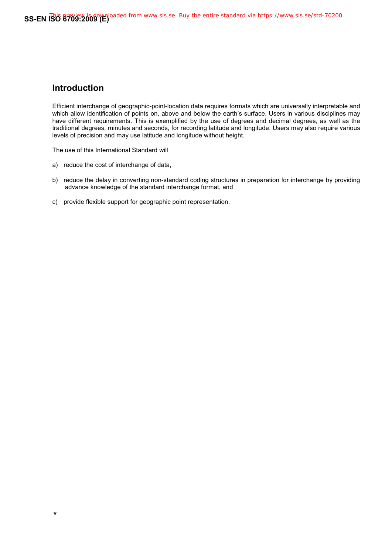#### **Introduction**

Efficient interchange of geographic-point-location data requires formats which are universally interpretable and which allow identification of points on, above and below the earth's surface. Users in various disciplines may have different requirements. This is exemplified by the use of degrees and decimal degrees, as well as the traditional degrees, minutes and seconds, for recording latitude and longitude. Users may also require various levels of precision and may use latitude and longitude without height.

The use of this International Standard will

- a) reduce the cost of interchange of data,
- b) reduce the delay in converting non-standard coding structures in preparation for interchange by providing advance knowledge of the standard interchange format, and
- c) provide flexible support for geographic point representation.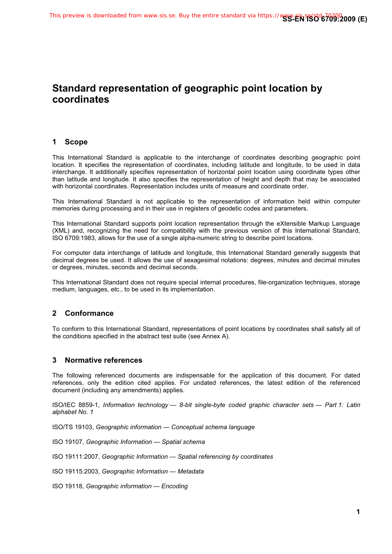## **Standard representation of geographic point location by coordinates**

#### **1 Scope**

This International Standard is applicable to the interchange of coordinates describing geographic point location. It specifies the representation of coordinates, including latitude and longitude, to be used in data interchange. It additionally specifies representation of horizontal point location using coordinate types other than latitude and longitude. It also specifies the representation of height and depth that may be associated with horizontal coordinates. Representation includes units of measure and coordinate order.

This International Standard is not applicable to the representation of information held within computer memories during processing and in their use in registers of geodetic codes and parameters.

This International Standard supports point location representation through the eXtensible Markup Language (XML) and, recognizing the need for compatibility with the previous version of this International Standard, ISO 6709:1983, allows for the use of a single alpha-numeric string to describe point locations.

For computer data interchange of latitude and longitude, this International Standard generally suggests that decimal degrees be used. It allows the use of sexagesimal notations: degrees, minutes and decimal minutes or degrees, minutes, seconds and decimal seconds.

This International Standard does not require special internal procedures, file-organization techniques, storage medium, languages, etc., to be used in its implementation.

#### **2 Conformance**

To conform to this International Standard, representations of point locations by coordinates shall satisfy all of the conditions specified in the abstract test suite (see Annex A).

#### **3 Normative references**

The following referenced documents are indispensable for the application of this document. For dated references, only the edition cited applies. For undated references, the latest edition of the referenced document (including any amendments) applies.

ISO/IEC 8859-1, *Information technology — 8-bit single-byte coded graphic character sets — Part 1: Latin alphabet No. 1*

ISO/TS 19103, *Geographic information — Conceptual schema language*

ISO 19107, *Geographic Information — Spatial schema* 

ISO 19111:2007, *Geographic Information — Spatial referencing by coordinates*

ISO 19115:2003, *Geographic Information — Metadata* 

ISO 19118, *Geographic information — Encoding*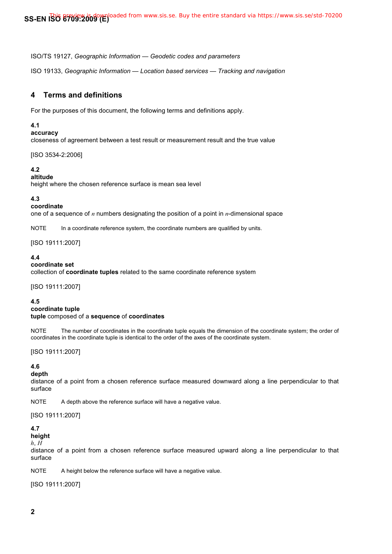ISO/TS 19127, *Geographic Information — Geodetic codes and parameters*

ISO 19133, *Geographic Information — Location based services — Tracking and navigation*

#### **4 Terms and definitions**

For the purposes of this document, the following terms and definitions apply.

#### **4.1**

#### **accuracy**

closeness of agreement between a test result or measurement result and the true value

[ISO 3534-2:2006]

#### **4.2**

#### **altitude**

height where the chosen reference surface is mean sea level

#### **4.3**

#### **coordinate**

one of a sequence of *n* numbers designating the position of a point in *n*-dimensional space

NOTE In a coordinate reference system, the coordinate numbers are qualified by units.

[ISO 19111:2007]

#### **4.4**

#### **coordinate set**

collection of **coordinate tuples** related to the same coordinate reference system

[ISO 19111:2007]

#### **4.5**

#### **coordinate tuple**

**tuple** composed of a **sequence** of **coordinates**

NOTE The number of coordinates in the coordinate tuple equals the dimension of the coordinate system; the order of coordinates in the coordinate tuple is identical to the order of the axes of the coordinate system.

[ISO 19111:2007]

#### **4.6**

#### **depth**

distance of a point from a chosen reference surface measured downward along a line perpendicular to that surface

NOTE A depth above the reference surface will have a negative value.

#### [ISO 19111:2007]

#### **4.7**

**height** 

*h*, *H*

distance of a point from a chosen reference surface measured upward along a line perpendicular to that surface

NOTE A height below the reference surface will have a negative value.

[ISO 19111:2007]